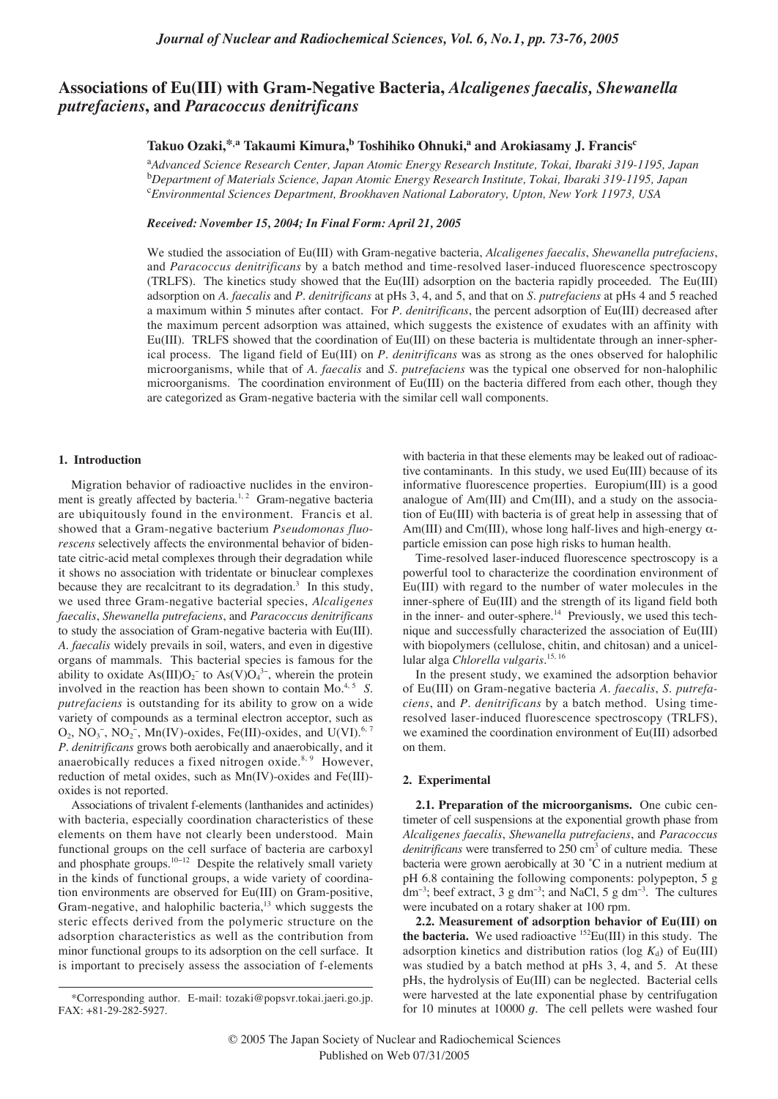# **Associations of Eu(III) with Gram-Negative Bacteria,** *Alcaligenes faecalis, Shewanella putrefaciens***, and** *Paracoccus denitrificans*

# **Takuo Ozaki,\*,a Takaumi Kimura,b Toshihiko Ohnuki,a and Arokiasamy J. Francisc**

a *Advanced Science Research Center, Japan Atomic Energy Research Institute, Tokai, Ibaraki 319-1195, Japan* b *Department of Materials Science, Japan Atomic Energy Research Institute, Tokai, Ibaraki 319-1195, Japan* c *Environmental Sciences Department, Brookhaven National Laboratory, Upton, New York 11973, USA*

## *Received: November 15, 2004; In Final Form: April 21, 2005*

We studied the association of Eu(III) with Gram-negative bacteria, *Alcaligenes faecalis*, *Shewanella putrefaciens*, and *Paracoccus denitrificans* by a batch method and time-resolved laser-induced fluorescence spectroscopy (TRLFS). The kinetics study showed that the Eu(III) adsorption on the bacteria rapidly proceeded. The Eu(III) adsorption on *A*. *faecalis* and *P*. *denitrificans* at pHs 3, 4, and 5, and that on *S*. *putrefaciens* at pHs 4 and 5 reached a maximum within 5 minutes after contact. For *P*. *denitrificans*, the percent adsorption of Eu(III) decreased after the maximum percent adsorption was attained, which suggests the existence of exudates with an affinity with Eu(III). TRLFS showed that the coordination of Eu(III) on these bacteria is multidentate through an inner-spherical process. The ligand field of Eu(III) on *P*. *denitrificans* was as strong as the ones observed for halophilic microorganisms, while that of *A*. *faecalis* and *S*. *putrefaciens* was the typical one observed for non-halophilic microorganisms. The coordination environment of Eu(III) on the bacteria differed from each other, though they are categorized as Gram-negative bacteria with the similar cell wall components.

## **1. Introduction**

Migration behavior of radioactive nuclides in the environment is greatly affected by bacteria.<sup>1, 2</sup> Gram-negative bacteria are ubiquitously found in the environment. Francis et al. showed that a Gram-negative bacterium *Pseudomonas fluorescens* selectively affects the environmental behavior of bidentate citric-acid metal complexes through their degradation while it shows no association with tridentate or binuclear complexes because they are recalcitrant to its degradation.<sup>3</sup> In this study, we used three Gram-negative bacterial species, *Alcaligenes faecalis*, *Shewanella putrefaciens*, and *Paracoccus denitrificans* to study the association of Gram-negative bacteria with Eu(III). *A*. *faecalis* widely prevails in soil, waters, and even in digestive organs of mammals. This bacterial species is famous for the ability to oxidate  $\text{As(III)O}_2^-$  to  $\text{As(V)O}_4^{3-}$ , wherein the protein involved in the reaction has been shown to contain Mo.<sup>4, 5</sup> *S*. *putrefaciens* is outstanding for its ability to grow on a wide variety of compounds as a terminal electron acceptor, such as  $O_2$ , NO<sub>3</sub><sup>-</sup>, NO<sub>2</sub><sup>-</sup>, Mn(IV)-oxides, Fe(III)-oxides, and U(VI).<sup>6, 7</sup> *P*. *denitrificans* grows both aerobically and anaerobically, and it anaerobically reduces a fixed nitrogen oxide.<sup>8, 9</sup> However, reduction of metal oxides, such as Mn(IV)-oxides and Fe(III) oxides is not reported.

Associations of trivalent f-elements (lanthanides and actinides) with bacteria, especially coordination characteristics of these elements on them have not clearly been understood. Main functional groups on the cell surface of bacteria are carboxyl and phosphate groups.<sup>10</sup>−<sup>12</sup> Despite the relatively small variety in the kinds of functional groups, a wide variety of coordination environments are observed for Eu(III) on Gram-positive, Gram-negative, and halophilic bacteria,<sup>13</sup> which suggests the steric effects derived from the polymeric structure on the adsorption characteristics as well as the contribution from minor functional groups to its adsorption on the cell surface. It is important to precisely assess the association of f-elements

with bacteria in that these elements may be leaked out of radioactive contaminants. In this study, we used Eu(III) because of its informative fluorescence properties. Europium(III) is a good analogue of Am(III) and Cm(III), and a study on the association of Eu(III) with bacteria is of great help in assessing that of Am(III) and Cm(III), whose long half-lives and high-energy  $\alpha$ particle emission can pose high risks to human health.

Time-resolved laser-induced fluorescence spectroscopy is a powerful tool to characterize the coordination environment of Eu(III) with regard to the number of water molecules in the inner-sphere of Eu(III) and the strength of its ligand field both in the inner- and outer-sphere.<sup>14</sup> Previously, we used this technique and successfully characterized the association of Eu(III) with biopolymers (cellulose, chitin, and chitosan) and a unicellular alga *Chlorella vulgaris*. 15, 16

In the present study, we examined the adsorption behavior of Eu(III) on Gram-negative bacteria *A*. *faecalis*, *S*. *putrefaciens*, and *P*. *denitrificans* by a batch method. Using timeresolved laser-induced fluorescence spectroscopy (TRLFS), we examined the coordination environment of Eu(III) adsorbed on them.

## **2. Experimental**

**2.1. Preparation of the microorganisms.** One cubic centimeter of cell suspensions at the exponential growth phase from *Alcaligenes faecalis*, *Shewanella putrefaciens*, and *Paracoccus denitrificans* were transferred to 250 cm<sup>3</sup> of culture media. These bacteria were grown aerobically at 30 ˚C in a nutrient medium at pH 6.8 containing the following components: polypepton, 5 g dm<sup>-3</sup>; beef extract, 3 g dm<sup>-3</sup>; and NaCl, 5 g dm<sup>-3</sup>. The cultures were incubated on a rotary shaker at 100 rpm.

**2.2. Measurement of adsorption behavior of Eu(III) on the bacteria.** We used radioactive 152Eu(III) in this study. The adsorption kinetics and distribution ratios (log  $K_d$ ) of Eu(III) was studied by a batch method at pHs 3, 4, and 5. At these pHs, the hydrolysis of Eu(III) can be neglected. Bacterial cells were harvested at the late exponential phase by centrifugation for 10 minutes at 10000 *g*. The cell pellets were washed four

<sup>\*</sup>Corresponding author. E-mail: tozaki@popsvr.tokai.jaeri.go.jp. FAX: +81-29-282-5927.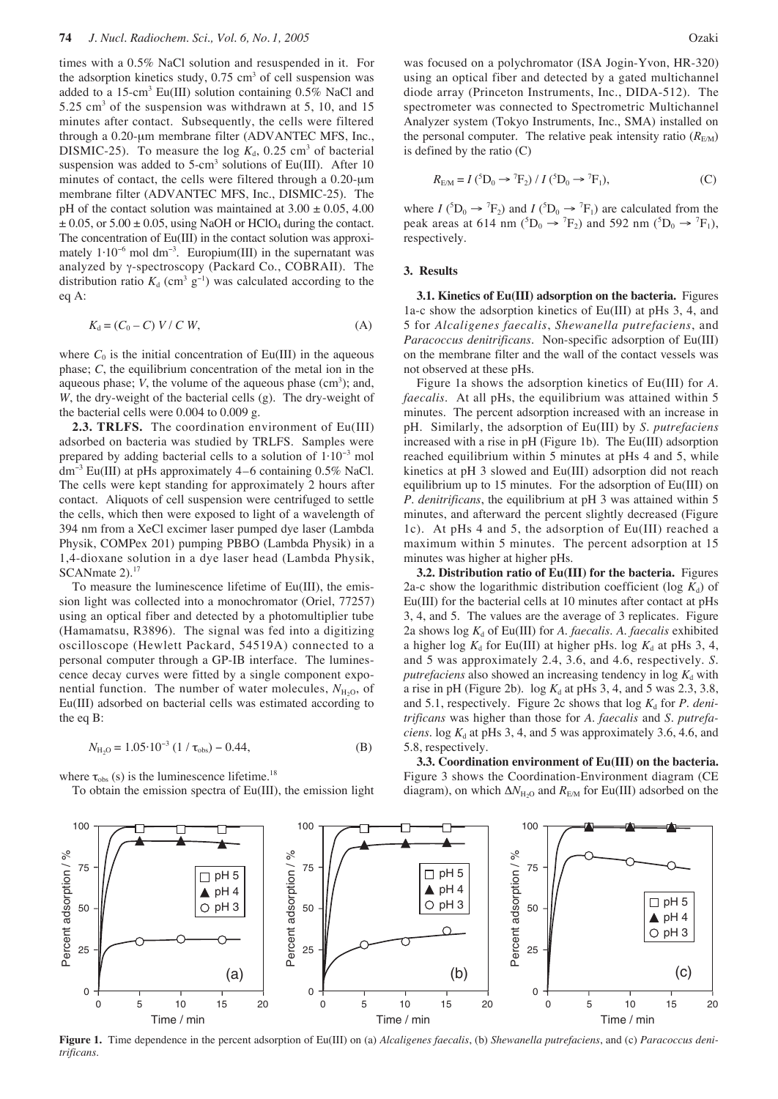times with a 0.5% NaCl solution and resuspended in it. For the adsorption kinetics study,  $0.75 \text{ cm}^3$  of cell suspension was added to a 15-cm3 Eu(III) solution containing 0.5% NaCl and 5.25 cm<sup>3</sup> of the suspension was withdrawn at 5, 10, and 15 minutes after contact. Subsequently, the cells were filtered through a 0.20-µm membrane filter (ADVANTEC MFS, Inc., DISMIC-25). To measure the log  $K_d$ , 0.25 cm<sup>3</sup> of bacterial suspension was added to  $5$ -cm<sup>3</sup> solutions of Eu(III). After 10 minutes of contact, the cells were filtered through a 0.20-um membrane filter (ADVANTEC MFS, Inc., DISMIC-25). The pH of the contact solution was maintained at  $3.00 \pm 0.05$ ,  $4.00$  $\pm$  0.05, or 5.00  $\pm$  0.05, using NaOH or HClO<sub>4</sub> during the contact. The concentration of Eu(III) in the contact solution was approximately  $1 \cdot 10^{-6}$  mol dm<sup>-3</sup>. Europium(III) in the supernatant was analyzed by γ-spectroscopy (Packard Co., COBRAII). The distribution ratio  $K_d$  (cm<sup>3</sup> g<sup>-1</sup>) was calculated according to the eq A:

$$
K_d = (C_0 - C) V / C W, \tag{A}
$$

where  $C_0$  is the initial concentration of Eu(III) in the aqueous phase; *C*, the equilibrium concentration of the metal ion in the aqueous phase;  $V$ , the volume of the aqueous phase  $(cm<sup>3</sup>)$ ; and, *W*, the dry-weight of the bacterial cells (g). The dry-weight of the bacterial cells were 0.004 to 0.009 g.

**2.3. TRLFS.** The coordination environment of Eu(III) adsorbed on bacteria was studied by TRLFS. Samples were prepared by adding bacterial cells to a solution of 1⋅10<sup>−</sup><sup>3</sup> mol dm<sup>−</sup><sup>3</sup> Eu(III) at pHs approximately 4–6 containing 0.5% NaCl. The cells were kept standing for approximately 2 hours after contact. Aliquots of cell suspension were centrifuged to settle the cells, which then were exposed to light of a wavelength of 394 nm from a XeCl excimer laser pumped dye laser (Lambda Physik, COMPex 201) pumping PBBO (Lambda Physik) in a 1,4-dioxane solution in a dye laser head (Lambda Physik, SCANmate 2).<sup>17</sup>

To measure the luminescence lifetime of Eu(III), the emission light was collected into a monochromator (Oriel, 77257) using an optical fiber and detected by a photomultiplier tube (Hamamatsu, R3896). The signal was fed into a digitizing oscilloscope (Hewlett Packard, 54519A) connected to a personal computer through a GP-IB interface. The luminescence decay curves were fitted by a single component exponential function. The number of water molecules,  $N_{\text{H}_2O}$ , of Eu(III) adsorbed on bacterial cells was estimated according to the eq B:

$$
N_{\text{H}_2\text{O}} = 1.05 \cdot 10^{-3} \left(1 / \tau_{\text{obs}}\right) - 0.44,\tag{B}
$$

where  $\tau_{obs}$  (s) is the luminescence lifetime.<sup>18</sup>

To obtain the emission spectra of Eu(III), the emission light

was focused on a polychromator (ISA Jogin-Yvon, HR-320) using an optical fiber and detected by a gated multichannel diode array (Princeton Instruments, Inc., DIDA-512). The spectrometer was connected to Spectrometric Multichannel Analyzer system (Tokyo Instruments, Inc., SMA) installed on the personal computer. The relative peak intensity ratio  $(R_{EM})$ is defined by the ratio (C)

$$
R_{\text{EM}} = I \left( {}^{5}D_{0} \rightarrow {}^{7}F_{2} \right) / I \left( {}^{5}D_{0} \rightarrow {}^{7}F_{1} \right), \tag{C}
$$

where  $I(^5D_0 \rightarrow {}^7F_2)$  and  $I(^5D_0 \rightarrow {}^7F_1)$  are calculated from the peak areas at 614 nm ( ${}^{5}D_0 \rightarrow {}^{7}F_2$ ) and 592 nm ( ${}^{5}D_0 \rightarrow {}^{7}F_1$ ), respectively.

#### **3. Results**

**3.1. Kinetics of Eu(III) adsorption on the bacteria.** Figures 1a-c show the adsorption kinetics of Eu(III) at pHs 3, 4, and 5 for *Alcaligenes faecalis*, *Shewanella putrefaciens*, and *Paracoccus denitrificans*. Non-specific adsorption of Eu(III) on the membrane filter and the wall of the contact vessels was not observed at these pHs.

Figure 1a shows the adsorption kinetics of Eu(III) for *A*. *faecalis*. At all pHs, the equilibrium was attained within 5 minutes. The percent adsorption increased with an increase in pH. Similarly, the adsorption of Eu(III) by *S*. *putrefaciens* increased with a rise in pH (Figure 1b). The Eu(III) adsorption reached equilibrium within 5 minutes at pHs 4 and 5, while kinetics at pH 3 slowed and Eu(III) adsorption did not reach equilibrium up to 15 minutes. For the adsorption of Eu(III) on *P*. *denitrificans*, the equilibrium at pH 3 was attained within 5 minutes, and afterward the percent slightly decreased (Figure 1c). At pHs 4 and 5, the adsorption of Eu(III) reached a maximum within 5 minutes. The percent adsorption at 15 minutes was higher at higher pHs.

**3.2. Distribution ratio of Eu(III) for the bacteria.** Figures 2a-c show the logarithmic distribution coefficient (log  $K_d$ ) of Eu(III) for the bacterial cells at 10 minutes after contact at pHs 3, 4, and 5. The values are the average of 3 replicates. Figure 2a shows log  $K_d$  of Eu(III) for *A. faecalis. A. faecalis* exhibited a higher log  $K_d$  for Eu(III) at higher pHs. log  $K_d$  at pHs 3, 4, and 5 was approximately 2.4, 3.6, and 4.6, respectively. *S*. *putrefaciens* also showed an increasing tendency in  $log K_d$  with a rise in pH (Figure 2b). log  $K_d$  at pHs 3, 4, and 5 was 2.3, 3.8, and 5.1, respectively. Figure 2c shows that  $log K_d$  for *P. denitrificans* was higher than those for *A*. *faecalis* and *S*. *putrefaciens*. log  $K_d$  at pHs 3, 4, and 5 was approximately 3.6, 4.6, and 5.8, respectively.

**3.3. Coordination environment of Eu(III) on the bacteria.** Figure 3 shows the Coordination-Environment diagram (CE diagram), on which  $\Delta N_{\text{H}_2O}$  and  $R_{\text{EM}}$  for Eu(III) adsorbed on the



**Figure 1.** Time dependence in the percent adsorption of Eu(III) on (a) *Alcaligenes faecalis*, (b) *Shewanella putrefaciens*, and (c) *Paracoccus denitrificans.*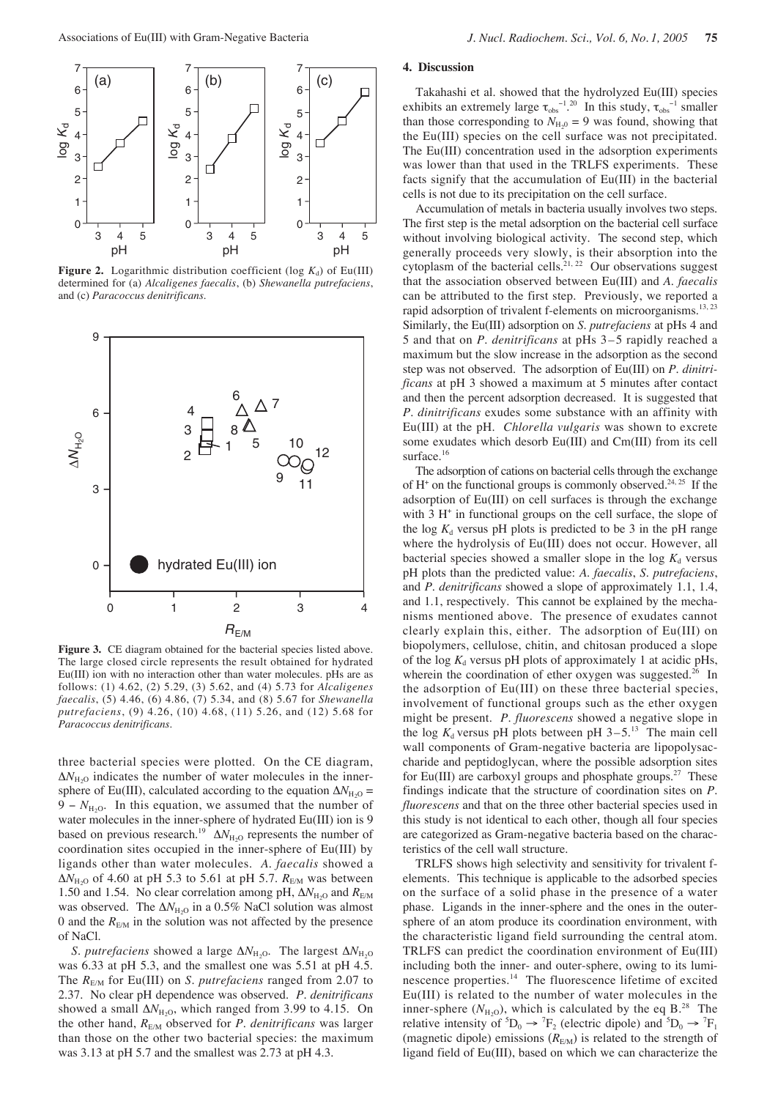

**Figure 2.** Logarithmic distribution coefficient (log  $K_d$ ) of Eu(III) determined for (a) *Alcaligenes faecalis*, (b) *Shewanella putrefaciens*, and (c) *Paracoccus denitrificans.*



Figure 3. CE diagram obtained for the bacterial species listed above. The large closed circle represents the result obtained for hydrated Eu(III) ion with no interaction other than water molecules. pHs are as follows: (1) 4.62, (2) 5.29, (3) 5.62, and (4) 5.73 for *Alcaligenes faecalis*, (5) 4.46, (6) 4.86, (7) 5.34, and (8) 5.67 for *Shewanella putrefaciens*, (9) 4.26, (10) 4.68, (11) 5.26, and (12) 5.68 for *Paracoccus denitrificans*.

three bacterial species were plotted. On the CE diagram,  $\Delta N_{\text{H}_2\text{O}}$  indicates the number of water molecules in the innersphere of Eu(III), calculated according to the equation  $\Delta N_{\text{H}_2\text{O}}$  = 9 –  $N_{\text{H}_2O}$ . In this equation, we assumed that the number of water molecules in the inner-sphere of hydrated Eu(III) ion is 9 based on previous research.<sup>19</sup>  $\Delta N_{\text{H}_2O}$  represents the number of coordination sites occupied in the inner-sphere of Eu(III) by ligands other than water molecules. *A*. *faecalis* showed a  $ΔN<sub>H,2</sub>$  of 4.60 at pH 5.3 to 5.61 at pH 5.7. *R*<sub>E/M</sub> was between 1.50 and 1.54. No clear correlation among pH, ΔN<sub>H<sub>2</sub>O</sub> and R<sub>E/M</sub> was observed. The  $\Delta N_{\text{H}_2O}$  in a 0.5% NaCl solution was almost 0 and the  $R_{EM}$  in the solution was not affected by the presence of NaCl.

*S*. *putrefaciens* showed a large ∆*N*<sub>H<sub>2</sub>O</sub>. The largest ∆*N*<sub>H<sub>2</sub>O</sub> was 6.33 at pH 5.3, and the smallest one was 5.51 at pH 4.5. The *R*<sub>E/M</sub> for Eu(III) on *S. putrefaciens* ranged from 2.07 to 2.37. No clear pH dependence was observed. *P*. *denitrificans* showed a small  $\Delta N_{\text{H}_2\text{O}}$ , which ranged from 3.99 to 4.15. On the other hand,  $R_{EM}$  observed for *P. denitrificans* was larger than those on the other two bacterial species: the maximum was 3.13 at pH 5.7 and the smallest was 2.73 at pH 4.3.

## **4. Discussion**

Takahashi et al. showed that the hydrolyzed Eu(III) species exhibits an extremely large  $\tau_{obs}^{-1}$ .<sup>20</sup> In this study,  $\tau_{obs}^{-1}$  smaller than those corresponding to  $N_{H<sub>10</sub>}$  = 9 was found, showing that the Eu(III) species on the cell surface was not precipitated. The Eu(III) concentration used in the adsorption experiments was lower than that used in the TRLFS experiments. These facts signify that the accumulation of Eu(III) in the bacterial cells is not due to its precipitation on the cell surface.

Accumulation of metals in bacteria usually involves two steps. The first step is the metal adsorption on the bacterial cell surface without involving biological activity. The second step, which generally proceeds very slowly, is their absorption into the cytoplasm of the bacterial cells.<sup>21, 22</sup> Our observations suggest that the association observed between Eu(III) and *A*. *faecalis* can be attributed to the first step. Previously, we reported a rapid adsorption of trivalent f-elements on microorganisms.<sup>13, 23</sup> Similarly, the Eu(III) adsorption on *S*. *putrefaciens* at pHs 4 and 5 and that on *P*. *denitrificans* at pHs 3–5 rapidly reached a maximum but the slow increase in the adsorption as the second step was not observed. The adsorption of Eu(III) on *P*. *dinitrificans* at pH 3 showed a maximum at 5 minutes after contact and then the percent adsorption decreased. It is suggested that *P*. *dinitrificans* exudes some substance with an affinity with Eu(III) at the pH. *Chlorella vulgaris* was shown to excrete some exudates which desorb Eu(III) and Cm(III) from its cell surface.<sup>16</sup>

The adsorption of cations on bacterial cells through the exchange of  $H^+$  on the functional groups is commonly observed.<sup>24, 25</sup> If the adsorption of Eu(III) on cell surfaces is through the exchange with  $3 H<sup>+</sup>$  in functional groups on the cell surface, the slope of the log  $K_d$  versus pH plots is predicted to be 3 in the pH range where the hydrolysis of Eu(III) does not occur. However, all bacterial species showed a smaller slope in the log  $K_d$  versus pH plots than the predicted value: *A*. *faecalis*, *S*. *putrefaciens*, and *P*. *denitrificans* showed a slope of approximately 1.1, 1.4, and 1.1, respectively. This cannot be explained by the mechanisms mentioned above. The presence of exudates cannot clearly explain this, either. The adsorption of Eu(III) on biopolymers, cellulose, chitin, and chitosan produced a slope of the log  $K_d$  versus pH plots of approximately 1 at acidic pHs, wherein the coordination of ether oxygen was suggested.<sup>26</sup> In the adsorption of Eu(III) on these three bacterial species, involvement of functional groups such as the ether oxygen might be present. *P*. *fluorescens* showed a negative slope in the log  $K_d$  versus pH plots between pH  $3-5$ .<sup>13</sup> The main cell wall components of Gram-negative bacteria are lipopolysaccharide and peptidoglycan, where the possible adsorption sites for Eu(III) are carboxyl groups and phosphate groups.<sup>27</sup> These findings indicate that the structure of coordination sites on *P*. *fluorescens* and that on the three other bacterial species used in this study is not identical to each other, though all four species are categorized as Gram-negative bacteria based on the characteristics of the cell wall structure.

TRLFS shows high selectivity and sensitivity for trivalent felements. This technique is applicable to the adsorbed species on the surface of a solid phase in the presence of a water phase. Ligands in the inner-sphere and the ones in the outersphere of an atom produce its coordination environment, with the characteristic ligand field surrounding the central atom. TRLFS can predict the coordination environment of Eu(III) including both the inner- and outer-sphere, owing to its luminescence properties.<sup>14</sup> The fluorescence lifetime of excited Eu(III) is related to the number of water molecules in the inner-sphere  $(N_{\text{H}_2\text{O}})$ , which is calculated by the eq B.<sup>28</sup> The relative intensity of  ${}^5D_0 \rightarrow {}^7F_2$  (electric dipole) and  ${}^5D_0 \rightarrow {}^7F_1$ (magnetic dipole) emissions  $(R<sub>E/M</sub>)$  is related to the strength of ligand field of Eu(III), based on which we can characterize the